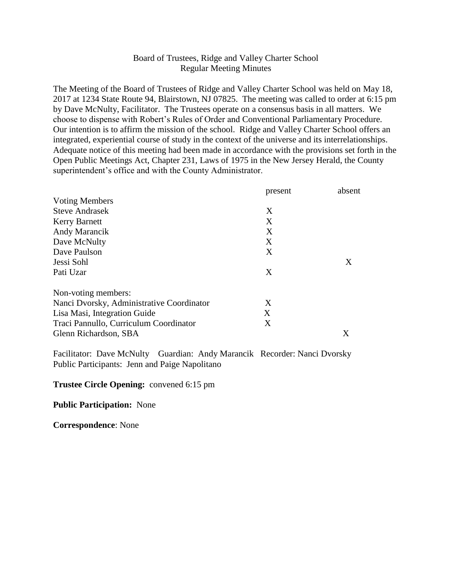# Board of Trustees, Ridge and Valley Charter School Regular Meeting Minutes

The Meeting of the Board of Trustees of Ridge and Valley Charter School was held on May 18, 2017 at 1234 State Route 94, Blairstown, NJ 07825. The meeting was called to order at 6:15 pm by Dave McNulty, Facilitator. The Trustees operate on a consensus basis in all matters. We choose to dispense with Robert's Rules of Order and Conventional Parliamentary Procedure. Our intention is to affirm the mission of the school. Ridge and Valley Charter School offers an integrated, experiential course of study in the context of the universe and its interrelationships. Adequate notice of this meeting had been made in accordance with the provisions set forth in the Open Public Meetings Act, Chapter 231, Laws of 1975 in the New Jersey Herald, the County superintendent's office and with the County Administrator.

|                                           | present | absent |
|-------------------------------------------|---------|--------|
| <b>Voting Members</b>                     |         |        |
| <b>Steve Andrasek</b>                     | X       |        |
| <b>Kerry Barnett</b>                      | X       |        |
| Andy Marancik                             | X       |        |
| Dave McNulty                              | X       |        |
| Dave Paulson                              | X       |        |
| Jessi Sohl                                |         | X      |
| Pati Uzar                                 | X       |        |
| Non-voting members:                       |         |        |
| Nanci Dvorsky, Administrative Coordinator | X       |        |
| Lisa Masi, Integration Guide              | X       |        |
| Traci Pannullo, Curriculum Coordinator    | X       |        |
| Glenn Richardson, SBA                     |         | X      |

Facilitator: Dave McNulty Guardian: Andy Marancik Recorder: Nanci Dvorsky Public Participants: Jenn and Paige Napolitano

#### **Trustee Circle Opening:** convened 6:15 pm

#### **Public Participation:** None

**Correspondence**: None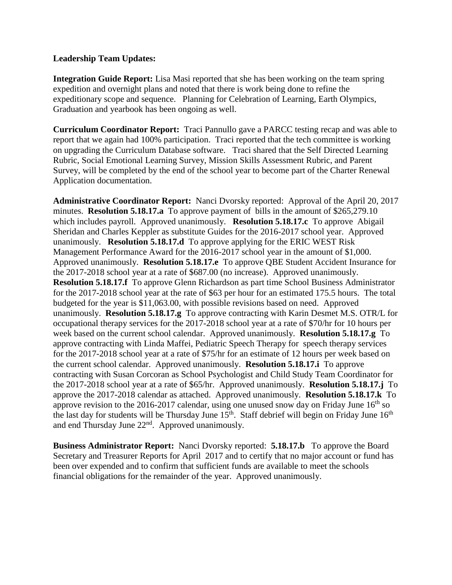### **Leadership Team Updates:**

**Integration Guide Report:** Lisa Masi reported that she has been working on the team spring expedition and overnight plans and noted that there is work being done to refine the expeditionary scope and sequence. Planning for Celebration of Learning, Earth Olympics, Graduation and yearbook has been ongoing as well.

**Curriculum Coordinator Report:** Traci Pannullo gave a PARCC testing recap and was able to report that we again had 100% participation. Traci reported that the tech committee is working on upgrading the Curriculum Database software. Traci shared that the Self Directed Learning Rubric, Social Emotional Learning Survey, Mission Skills Assessment Rubric, and Parent Survey, will be completed by the end of the school year to become part of the Charter Renewal Application documentation.

**Administrative Coordinator Report:** Nanci Dvorsky reported: Approval of the April 20, 2017 minutes. **Resolution 5.18.17.a** To approve payment of bills in the amount of \$265,279.10 which includes payroll. Approved unanimously. **Resolution 5.18.17.c** To approve Abigail Sheridan and Charles Keppler as substitute Guides for the 2016-2017 school year. Approved unanimously. **Resolution 5.18.17.d** To approve applying for the ERIC WEST Risk Management Performance Award for the 2016-2017 school year in the amount of \$1,000. Approved unanimously. **Resolution 5.18.17.e** To approve QBE Student Accident Insurance for the 2017-2018 school year at a rate of \$687.00 (no increase). Approved unanimously. **Resolution 5.18.17.f** To approve Glenn Richardson as part time School Business Administrator for the 2017-2018 school year at the rate of \$63 per hour for an estimated 175.5 hours. The total budgeted for the year is \$11,063.00, with possible revisions based on need. Approved unanimously. **Resolution 5.18.17.g** To approve contracting with Karin Desmet M.S. OTR/L for occupational therapy services for the 2017-2018 school year at a rate of \$70/hr for 10 hours per week based on the current school calendar. Approved unanimously. **Resolution 5.18.17.g** To approve contracting with Linda Maffei, Pediatric Speech Therapy for speech therapy services for the 2017-2018 school year at a rate of \$75/hr for an estimate of 12 hours per week based on the current school calendar. Approved unanimously. **Resolution 5.18.17.i** To approve contracting with Susan Corcoran as School Psychologist and Child Study Team Coordinator for the 2017-2018 school year at a rate of \$65/hr. Approved unanimously. **Resolution 5.18.17.j** To approve the 2017-2018 calendar as attached. Approved unanimously. **Resolution 5.18.17.k** To approve revision to the 2016-2017 calendar, using one unused snow day on Friday June  $16<sup>th</sup>$  so the last day for students will be Thursday June  $15<sup>th</sup>$ . Staff debrief will begin on Friday June  $16<sup>th</sup>$ and end Thursday June 22nd. Approved unanimously.

**Business Administrator Report:** Nanci Dvorsky reported: **5.18.17.b** To approve the Board Secretary and Treasurer Reports for April 2017 and to certify that no major account or fund has been over expended and to confirm that sufficient funds are available to meet the schools financial obligations for the remainder of the year. Approved unanimously.